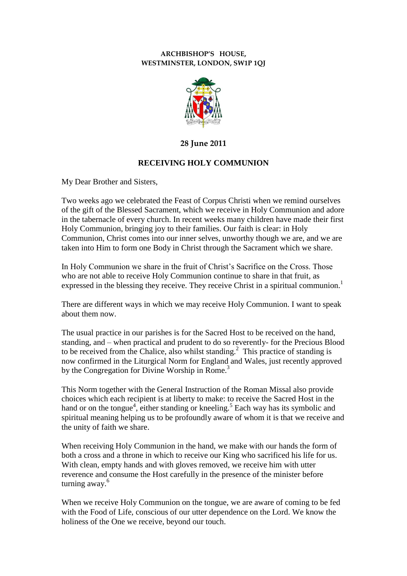## **ARCHBISHOP'S HOUSE, WESTMINSTER, LONDON, SW1P 1QJ**



## **28 June 2011**

## **RECEIVING HOLY COMMUNION**

My Dear Brother and Sisters,

Two weeks ago we celebrated the Feast of Corpus Christi when we remind ourselves of the gift of the Blessed Sacrament, which we receive in Holy Communion and adore in the tabernacle of every church. In recent weeks many children have made their first Holy Communion, bringing joy to their families. Our faith is clear: in Holy Communion, Christ comes into our inner selves, unworthy though we are, and we are taken into Him to form one Body in Christ through the Sacrament which we share.

In Holy Communion we share in the fruit of Christ's Sacrifice on the Cross. Those who are not able to receive Holy Communion continue to share in that fruit, as expressed in the blessing they receive. They receive Christ in a spiritual communion.<sup>1</sup>

There are different ways in which we may receive Holy Communion. I want to speak about them now.

The usual practice in our parishes is for the Sacred Host to be received on the hand, standing, and – when practical and prudent to do so reverently- for the Precious Blood to be received from the Chalice, also whilst standing.<sup>2</sup> This practice of standing is now confirmed in the Liturgical Norm for England and Wales, just recently approved by the Congregation for Divine Worship in Rome.<sup>3</sup>

This Norm together with the General Instruction of the Roman Missal also provide choices which each recipient is at liberty to make: to receive the Sacred Host in the hand or on the tongue<sup>4</sup>, either standing or kneeling.<sup>5</sup> Each way has its symbolic and spiritual meaning helping us to be profoundly aware of whom it is that we receive and the unity of faith we share.

When receiving Holy Communion in the hand, we make with our hands the form of both a cross and a throne in which to receive our King who sacrificed his life for us. With clean, empty hands and with gloves removed, we receive him with utter reverence and consume the Host carefully in the presence of the minister before turning away.<sup>6</sup>

When we receive Holy Communion on the tongue, we are aware of coming to be fed with the Food of Life, conscious of our utter dependence on the Lord. We know the holiness of the One we receive, beyond our touch.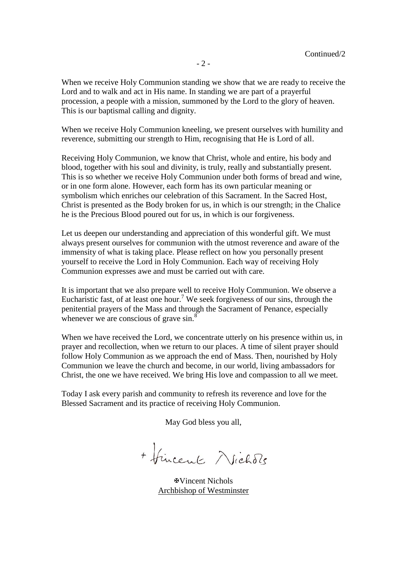When we receive Holy Communion standing we show that we are ready to receive the Lord and to walk and act in His name. In standing we are part of a prayerful procession, a people with a mission, summoned by the Lord to the glory of heaven. This is our baptismal calling and dignity.

When we receive Holy Communion kneeling, we present ourselves with humility and reverence, submitting our strength to Him, recognising that He is Lord of all.

Receiving Holy Communion, we know that Christ, whole and entire, his body and blood, together with his soul and divinity, is truly, really and substantially present. This is so whether we receive Holy Communion under both forms of bread and wine, or in one form alone. However, each form has its own particular meaning or symbolism which enriches our celebration of this Sacrament. In the Sacred Host, Christ is presented as the Body broken for us, in which is our strength; in the Chalice he is the Precious Blood poured out for us, in which is our forgiveness.

Let us deepen our understanding and appreciation of this wonderful gift. We must always present ourselves for communion with the utmost reverence and aware of the immensity of what is taking place. Please reflect on how you personally present yourself to receive the Lord in Holy Communion. Each way of receiving Holy Communion expresses awe and must be carried out with care.

It is important that we also prepare well to receive Holy Communion. We observe a Eucharistic fast, of at least one hour.<sup>7</sup> We seek forgiveness of our sins, through the penitential prayers of the Mass and through the Sacrament of Penance, especially whenever we are conscious of grave sin.<sup>8</sup>

When we have received the Lord, we concentrate utterly on his presence within us, in prayer and recollection, when we return to our places. A time of silent prayer should follow Holy Communion as we approach the end of Mass. Then, nourished by Holy Communion we leave the church and become, in our world, living ambassadors for Christ, the one we have received. We bring His love and compassion to all we meet.

Today I ask every parish and community to refresh its reverence and love for the Blessed Sacrament and its practice of receiving Holy Communion.

May God bless you all,

+ fincent Vichols

Vincent Nichols Archbishop of Westminster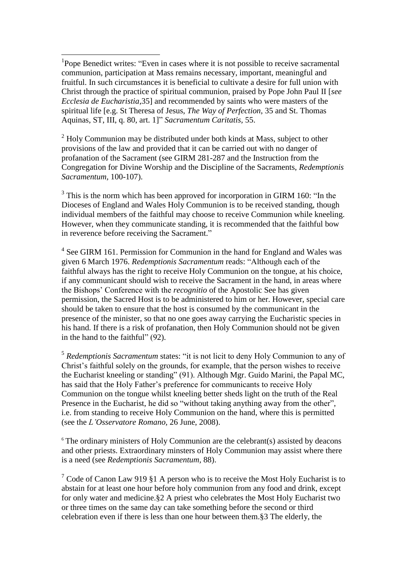<sup>1</sup>Pope Benedict writes: "Even in cases where it is not possible to receive sacramental communion, participation at Mass remains necessary, important, meaningful and fruitful. In such circumstances it is beneficial to cultivate a desire for full union with Christ through the practice of spiritual communion, praised by Pope John Paul II [*see Ecclesia de Eucharistia*,35] and recommended by saints who were masters of the spiritual life [e.g. St Theresa of Jesus, *The Way of Perfection*, 35 and St. Thomas Aquinas, ST, III, q. 80, art. 1]" *Sacramentum Caritatis,* 55.

<u>.</u>

 $2$  Holy Communion may be distributed under both kinds at Mass, subject to other provisions of the law and provided that it can be carried out with no danger of profanation of the Sacrament (see GIRM 281-287 and the Instruction from the Congregation for Divine Worship and the Discipline of the Sacraments, *Redemptionis Sacramentum,* 100-107).

 $3$  This is the norm which has been approved for incorporation in GIRM 160: "In the Dioceses of England and Wales Holy Communion is to be received standing, though individual members of the faithful may choose to receive Communion while kneeling. However, when they communicate standing, it is recommended that the faithful bow in reverence before receiving the Sacrament."

<sup>4</sup> See GIRM 161. Permission for Communion in the hand for England and Wales was given 6 March 1976. *Redemptionis Sacramentum* reads: "Although each of the faithful always has the right to receive Holy Communion on the tongue, at his choice, if any communicant should wish to receive the Sacrament in the hand, in areas where the Bishops' Conference with the *recognitio* of the Apostolic See has given permission, the Sacred Host is to be administered to him or her. However, special care should be taken to ensure that the host is consumed by the communicant in the presence of the minister, so that no one goes away carrying the Eucharistic species in his hand. If there is a risk of profanation, then Holy Communion should not be given in the hand to the faithful" (92).

5 *Redemptionis Sacramentum* states: "it is not licit to deny Holy Communion to any of Christ's faithful solely on the grounds, for example, that the person wishes to receive the Eucharist kneeling or standing" (91). Although Mgr. Guido Marini, the Papal MC, has said that the Holy Father's preference for communicants to receive Holy Communion on the tongue whilst kneeling better sheds light on the truth of the Real Presence in the Eucharist, he did so "without taking anything away from the other", i.e. from standing to receive Holy Communion on the hand, where this is permitted (see the *L'Osservatore Romano,* 26 June, 2008).

 $6$  The ordinary ministers of Holy Communion are the celebrant(s) assisted by deacons and other priests. Extraordinary minsters of Holy Communion may assist where there is a need (see *Redemptionis Sacramentum,* 88).

<sup>7</sup> Code of Canon Law 919 §1 A person who is to receive the Most Holy Eucharist is to abstain for at least one hour before holy communion from any food and drink, except for only water and medicine.§2 A priest who celebrates the Most Holy Eucharist two or three times on the same day can take something before the second or third celebration even if there is less than one hour between them.§3 The elderly, the